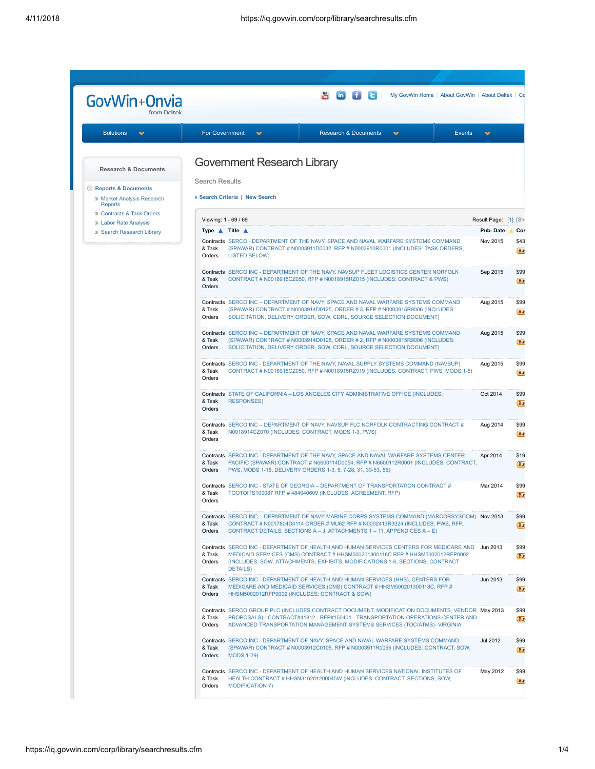| GovWin+Onvia                                                             | My GovWin Home   About GovWin   About Deltek   Co                                                                                                                                                                                                                                                       |                      |  |
|--------------------------------------------------------------------------|---------------------------------------------------------------------------------------------------------------------------------------------------------------------------------------------------------------------------------------------------------------------------------------------------------|----------------------|--|
|                                                                          |                                                                                                                                                                                                                                                                                                         |                      |  |
| <b>Solutions</b><br>$\mathcal{L}$                                        | <b>For Government</b><br>$\mathbf{v}$<br><b>Research &amp; Documents</b><br>v<br><b>Events</b>                                                                                                                                                                                                          | v                    |  |
| <b>Research &amp; Documents</b>                                          | <b>Government Research Library</b><br>Search Results                                                                                                                                                                                                                                                    |                      |  |
| Reports & Documents<br><b>Market Analysis Research</b><br><b>Reports</b> | « Search Criteria   New Search                                                                                                                                                                                                                                                                          |                      |  |
| <b>D</b> Contracts & Task Orders<br><b>» Labor Rate Analysis</b>         | Viewing: 1 - 69 / 69                                                                                                                                                                                                                                                                                    | Result Page: [1] [Sh |  |
| <sup>10</sup> Search Research Library                                    | Type $\triangle$ Title $\triangle$                                                                                                                                                                                                                                                                      | Pub. Date            |  |
|                                                                          | Contracts SERCO - DEPARTMENT OF THE NAVY, SPACE AND NAVAL WARFARE SYSTEMS COMMAND<br>(SPAWAR) CONTRACT # N0003911D0032, RFP # N0003910R0001 (INCLUDES: TASK ORDERS,<br>& Task<br>Orders<br><b>LISTED BELOW)</b>                                                                                         | Nov 2015             |  |
|                                                                          | Contracts SERCO INC - DEPARTMENT OF THE NAVY, NAVSUP FLEET LOGISTICS CENTER NORFOLK<br>& Task<br>CONTRACT # N0018915CZ050, RFP # N0018915RZ015 (INCLUDES: CONTRACT & PWS)<br>Orders                                                                                                                     | Sep 2015             |  |
|                                                                          | Contracts SERCO INC - DEPARTMENT OF NAVY, SPACE AND NAVAL WARFARE SYSTEMS COMMAND<br>(SPAWAR) CONTRACT # N0003914D0125, ORDER # 3, RFP # N0003915R9006 (INCLUDES:<br>& Task<br>Orders<br>SOLICITATION, DELIVERY ORDER, SOW, CDRL, SOURCE SELECTION DOCUMENT)                                            | Aug 2015             |  |
|                                                                          | Contracts SERCO INC - DEPARTMENT OF NAVY, SPACE AND NAVAL WARFARE SYSTEMS COMMAND<br>& Task<br>(SPAWAR) CONTRACT # N0003914D0125, ORDER # 2, RFP # N0003915R9006 (INCLUDES:<br>Orders<br>SOLICITATION, DELIVERY ORDER, SOW, CDRL, SOURCE SELECTION DOCUMENT)                                            | Aug 2015             |  |
|                                                                          | Contracts SERCO INC - DEPARTMENT OF THE NAVY, NAVAL SUPPLY SYSTEMS COMMAND (NAVSUP)<br>& Task<br>CONTRACT # N0018915CZ050, RFP # N0018915RZ019 (INCLUDES: CONTRACT, PWS, MODS 1-5)<br>Orders                                                                                                            | Aug 2015             |  |
|                                                                          | Contracts STATE OF CALIFORNIA - LOS ANGELES CITY ADMINISTRATIVE OFFICE (INCLUDES:<br>& Task<br><b>RESPONSES)</b><br>Orders                                                                                                                                                                              | Oct 2014             |  |
|                                                                          | Contracts SERCO INC - DEPARTMENT OF NAVY, NAVSUP FLC NORFOLK CONTRACTING CONTRACT #<br>& Task<br>N0018914CZ070 (INCLUDES: CONTRACT, MODS 1-3, PWS)<br>Orders                                                                                                                                            | Aug 2014             |  |
|                                                                          | Contracts SERCO INC - DEPARTMENT OF THE NAVY, SPACE AND NAVAL WARFARE SYSTEMS CENTER<br>& Task<br>PACIFIC (SPAWAR) CONTRACT # N6600114D0054, RFP # N6600112R0001 (INCLUDES: CONTRACT,<br>Orders<br>PWS, MODS 1-15, DELIVERY ORDERS 1-3, 5, 7-28, 31, 33-53, 55)                                         | Apr 2014             |  |
|                                                                          | Contracts SERCO INC - STATE OF GEORGIA - DEPARTMENT OF TRANSPORTATION CONTRACT #<br>TOOTOITS100087 RFP #484040609 (INCLUDES: AGREEMENT, RFP)<br>& Task<br>Orders                                                                                                                                        | Mar 2014             |  |
|                                                                          | Contracts SERCO INC - DEPARTMENT OF NAVY MARINE CORPS SYSTEMS COMMAND (MARCORSYSCOM) Nov 2013<br>CONTRACT # N0017804D4114 ORDER # MU62 RFP # N0002413R3324 (INCLUDES: PWS, RFP,<br>& Task<br>Orders<br>CONTRACT DETAILS, SECTIONS A - J, ATTACHMENTS 1 - 11, APPENDICES A - E)                          |                      |  |
|                                                                          | Contracts SERCO INC - DEPARTMENT OF HEALTH AND HUMAN SERVICES CENTERS FOR MEDICARE AND Jun 2013<br>MEDICAID SERVICES (CMS) CONTRACT # HHSM500201300118C RFP # HHSM5002012RFP0002<br>& Task<br>Orders<br>(INCLUDES: SOW, ATTACHMENTS, EXHIBITS, MODIFICATIONS 1-6, SECTIONS, CONTRACT<br><b>DETAILS)</b> |                      |  |
|                                                                          | Contracts SERCO INC - DEPARTMENT OF HEALTH AND HUMAN SERVICES (HHS), CENTERS FOR<br>& Task<br>MEDICARE AND MEDICAID SERVICES (CMS) CONTRACT # HHSM500201300118C, RFP #<br>Orders<br>HHSM5002012RFP0002 (INCLUDES: CONTRACT & SOW)                                                                       | Jun 2013             |  |
|                                                                          | Contracts SERCO GROUP PLC (INCLUDES CONTRACT DOCUMENT, MODIFICATION DOCUMENTS, VENDOR May 2013<br>& Task<br>PROPOSALS) - CONTRACT#41812 - RFP#150401 - TRANSPORTATION OPERATIONS CENTER AND<br>Orders<br>ADVANCED TRANSPORTATION MANAGEMENT SYSTEMS SERVICES (TOC/ATMS)- VIRGINIA                       |                      |  |
|                                                                          | Contracts SERCO INC - DEPARTMENT OF NAVY, SPACE AND NAVAL WARFARE SYSTEMS COMMAND<br>& Task<br>(SPAWAR) CONTRACT # N0003912C0105, RFP # N0003911R0055 (INCLUDES: CONTRACT, SOW,<br>Orders<br><b>MODS 1-29)</b>                                                                                          | Jul 2012             |  |
|                                                                          | Contracts SERCO INC - DEPARTMENT OF HEALTH AND HUMAN SERVICES NATIONAL INSTITUTES OF<br>HEALTH CONTRACT # HHSN316201200045W (INCLUDES: CONTRACT, SECTIONS, SOW,<br>& Task<br>Orders<br><b>MODIFICATION 7)</b>                                                                                           | May 2012             |  |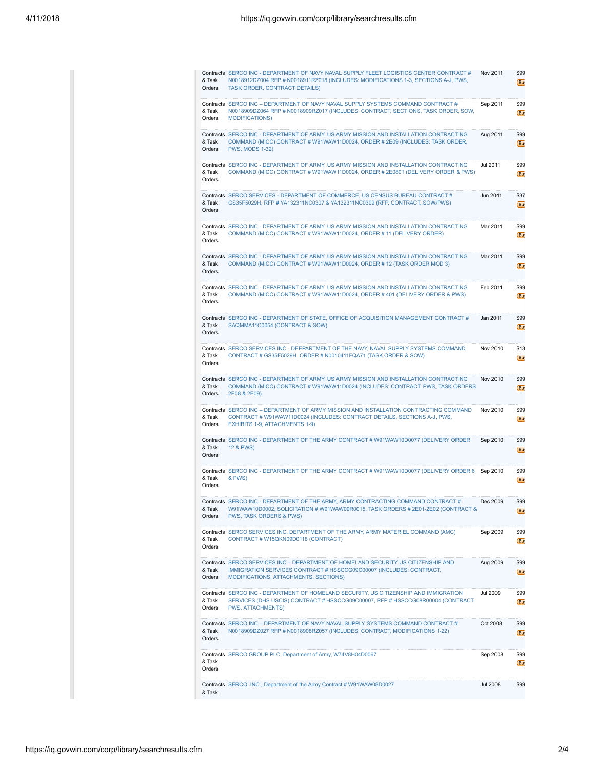| & Task<br>Orders | Contracts SERCO INC - DEPARTMENT OF NAVY NAVAL SUPPLY FLEET LOGISTICS CENTER CONTRACT #<br>N0018912DZ004 RFP # N0018911RZ018 (INCLUDES: MODIFICATIONS 1-3, SECTIONS A-J, PWS,<br><b>TASK ORDER, CONTRACT DETAILS)</b> | Nov 2011        | \$99<br>(But |  |
|------------------|-----------------------------------------------------------------------------------------------------------------------------------------------------------------------------------------------------------------------|-----------------|--------------|--|
| & Task<br>Orders | Contracts SERCO INC - DEPARTMENT OF NAVY NAVAL SUPPLY SYSTEMS COMMAND CONTRACT #<br>N0018909DZ064 RFP # N0018909RZ017 (INCLUDES: CONTRACT, SECTIONS, TASK ORDER, SOW,<br><b>MODIFICATIONS)</b>                        | Sep 2011        | \$99<br>(But |  |
| & Task<br>Orders | Contracts SERCO INC - DEPARTMENT OF ARMY, US ARMY MISSION AND INSTALLATION CONTRACTING<br>COMMAND (MICC) CONTRACT # W91WAW11D0024, ORDER # 2E09 (INCLUDES: TASK ORDER,<br><b>PWS, MODS 1-32)</b>                      | Aug 2011        | \$99<br>(But |  |
| & Task<br>Orders | Contracts SERCO INC - DEPARTMENT OF ARMY, US ARMY MISSION AND INSTALLATION CONTRACTING<br>Jul 2011<br>COMMAND (MICC) CONTRACT # W91WAW11D0024, ORDER # 2E0801 (DELIVERY ORDER & PWS)                                  |                 |              |  |
| & Task<br>Orders | Jun 2011<br>Contracts SERCO SERVICES - DEPARTMENT OF COMMERCE, US CENSUS BUREAU CONTRACT #<br>GS35F5029H, RFP # YA132311NC0307 & YA132311NC0309 (RFP, CONTRACT, SOW/PWS)                                              |                 | \$37<br>(But |  |
| & Task<br>Orders | Contracts SERCO INC - DEPARTMENT OF ARMY, US ARMY MISSION AND INSTALLATION CONTRACTING<br>COMMAND (MICC) CONTRACT # W91WAW11D0024, ORDER # 11 (DELIVERY ORDER)                                                        |                 | \$99<br>(But |  |
| & Task<br>Orders | Contracts SERCO INC - DEPARTMENT OF ARMY, US ARMY MISSION AND INSTALLATION CONTRACTING<br>COMMAND (MICC) CONTRACT # W91WAW11D0024, ORDER # 12 (TASK ORDER MOD 3)                                                      |                 | \$99<br>(But |  |
| & Task<br>Orders | Contracts SERCO INC - DEPARTMENT OF ARMY, US ARMY MISSION AND INSTALLATION CONTRACTING<br>COMMAND (MICC) CONTRACT # W91WAW11D0024, ORDER #401 (DELIVERY ORDER & PWS)                                                  |                 | \$99<br>(But |  |
| & Task<br>Orders | Contracts SERCO INC - DEPARTMENT OF STATE, OFFICE OF ACQUISITION MANAGEMENT CONTRACT #<br>SAQMMA11C0054 (CONTRACT & SOW)                                                                                              |                 | \$99<br>(But |  |
| & Task<br>Orders | Contracts SERCO SERVICES INC - DEEPARTMENT OF THE NAVY, NAVAL SUPPLY SYSTEMS COMMAND<br>CONTRACT # GS35F5029H, ORDER # N0010411FQA71 (TASK ORDER & SOW)                                                               | Nov 2010        | \$13<br>(But |  |
| & Task<br>Orders | Contracts SERCO INC - DEPARTMENT OF ARMY, US ARMY MISSION AND INSTALLATION CONTRACTING<br>COMMAND (MICC) CONTRACT # W91WAW11D0024 (INCLUDES: CONTRACT, PWS, TASK ORDERS<br>2E08 & 2E09)                               | Nov 2010        | \$99<br>(But |  |
| & Task<br>Orders | Contracts SERCO INC - DEPARTMENT OF ARMY MISSION AND INSTALLATION CONTRACTING COMMAND<br>CONTRACT # W91WAW11D0024 (INCLUDES: CONTRACT DETAILS, SECTIONS A-J, PWS,<br><b>EXHIBITS 1-9, ATTACHMENTS 1-9)</b>            |                 | \$99<br>(But |  |
| & Task<br>Orders | Contracts SERCO INC - DEPARTMENT OF THE ARMY CONTRACT # W91WAW10D0077 (DELIVERY ORDER<br>12 & PWS)                                                                                                                    | Sep 2010        | \$99<br>(But |  |
| & Task<br>Orders | Contracts SERCO INC - DEPARTMENT OF THE ARMY CONTRACT # W91WAW10D0077 (DELIVERY ORDER 6<br>& PWS)                                                                                                                     | Sep 2010        | \$99<br>(But |  |
| & Task<br>Orders | Contracts SERCO INC - DEPARTMENT OF THE ARMY, ARMY CONTRACTING COMMAND CONTRACT #<br>W91WAW10D0002, SOLICITATION # W91WAW09R0015, TASK ORDERS # 2E01-2E02 (CONTRACT &<br>PWS, TASK ORDERS & PWS)                      | Dec 2009        | \$99<br>(Bu  |  |
| & Task<br>Orders | Contracts SERCO SERVICES INC, DEPARTMENT OF THE ARMY, ARMY MATERIEL COMMAND (AMC)<br>CONTRACT # W15QKN09D0118 (CONTRACT)                                                                                              | Sep 2009        | \$99<br>(But |  |
| & Task<br>Orders | Contracts SERCO SERVICES INC - DEPARTMENT OF HOMELAND SECURITY US CITIZENSHIP AND<br>IMMIGRATION SERVICES CONTRACT # HSSCCG09C00007 (INCLUDES: CONTRACT,<br>MODIFICATIONS, ATTACHMENTS, SECTIONS)                     | Aug 2009        | \$99<br>(But |  |
| & Task<br>Orders | Contracts SERCO INC - DEPARTMENT OF HOMELAND SECURITY, US CITIZENSHIP AND IMMIGRATION<br>SERVICES (DHS USCIS) CONTRACT # HSSCCG09C00007, RFP # HSSCCG08R00004 (CONTRACT,<br><b>PWS, ATTACHMENTS)</b>                  | <b>Jul 2009</b> | \$99<br>(But |  |
| & Task<br>Orders | Contracts SERCO INC - DEPARTMENT OF NAVY NAVAL SUPPLY SYSTEMS COMMAND CONTRACT #<br>N0018909DZ027 RFP # N0018908RZ057 (INCLUDES: CONTRACT, MODIFICATIONS 1-22)                                                        | Oct 2008        | \$99<br>(But |  |
| & Task<br>Orders | Contracts SERCO GROUP PLC, Department of Army, W74V8H04D0067                                                                                                                                                          | Sep 2008        | \$99<br>(But |  |
| & Task           | Contracts SERCO, INC., Department of the Army Contract # W91WAW08D0027                                                                                                                                                | <b>Jul 2008</b> | \$99         |  |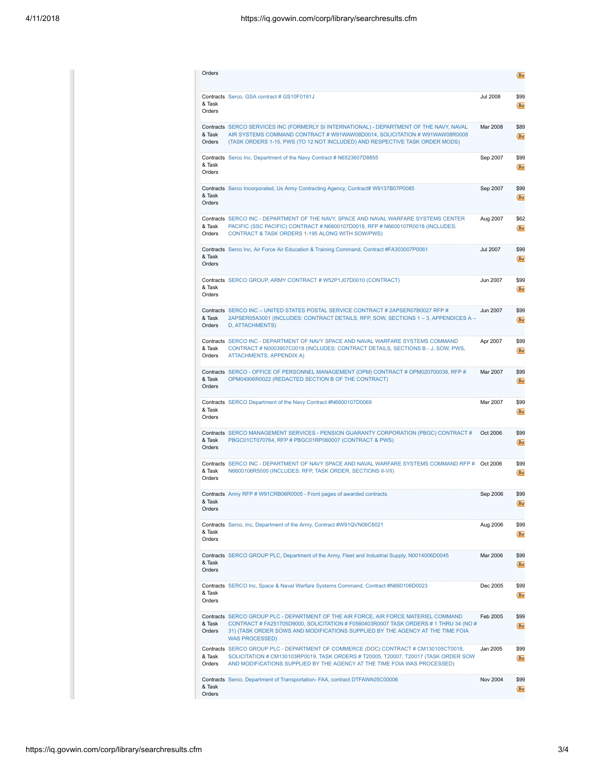| Orders           |                                                                                                                                                                                                                                                                                 |                 |  |
|------------------|---------------------------------------------------------------------------------------------------------------------------------------------------------------------------------------------------------------------------------------------------------------------------------|-----------------|--|
| & Task<br>Orders | Contracts Serco, GSA contract # GS10F0191J                                                                                                                                                                                                                                      | <b>Jul 2008</b> |  |
| & Task<br>Orders | Contracts SERCO SERVICES INC (FORMERLY SI INTERNATIONAL) - DEPARTMENT OF THE NAVY, NAVAL<br>AIR SYSTEMS COMMAND CONTRACT # W91WAW08D0014, SOLICITATION # W91WAW08R0008<br>(TASK ORDERS 1-15, PWS (TO 12 NOT INCLUDED) AND RESPECTIVE TASK ORDER MODS)                           | Mar 2008        |  |
| & Task<br>Orders | <b>Contracts</b> Serco Inc. Department of the Navy Contract # N6523607D8855                                                                                                                                                                                                     | Sep 2007        |  |
| & Task<br>Orders | Contracts Serco Incorporated, Us Army Contracting Agency, Contract# W9137B07P0085                                                                                                                                                                                               | Sep 2007        |  |
| & Task<br>Orders | Contracts SERCO INC - DEPARTMENT OF THE NAVY, SPACE AND NAVAL WARFARE SYSTEMS CENTER<br>Aug 2007<br>PACIFIC (SSC PACIFIC) CONTRACT # N6600107D0018, RFP # N6600107R0018 (INCLUDES:<br>CONTRACT & TASK ORDERS 1-195 ALONG WITH SOW/PWS)                                          |                 |  |
| & Task<br>Orders | <b>Contracts</b> Serco Inc, Air Force Air Education & Training Command, Contract #FA303007P0061                                                                                                                                                                                 | <b>Jul 2007</b> |  |
| & Task<br>Orders | Contracts SERCO GROUP, ARMY CONTRACT # W52P1J07D0010 (CONTRACT)                                                                                                                                                                                                                 | Jun 2007        |  |
| & Task<br>Orders | <b>Contracts</b> SERCO INC – UNITED STATES POSTAL SERVICE CONTRACT # 2APSER07B0027 RFP #<br>2APSER05A3001 (INCLUDES: CONTRACT DETAILS, RFP, SOW, SECTIONS 1 - 3, APPENDICES A -<br>D, ATTACHMENTS)                                                                              | Jun 2007        |  |
| & Task<br>Orders | Contracts SERCO INC - DEPARTMENT OF NAVY SPACE AND NAVAL WARFARE SYSTEMS COMMAND<br>CONTRACT # N0003907C0018 (INCLUDES: CONTRACT DETAILS, SECTIONS B - J, SOW, PWS,<br><b>ATTACHMENTS, APPENDIX A)</b>                                                                          | Apr 2007        |  |
| & Task<br>Orders | Contracts SERCO - OFFICE OF PERSONNEL MANAGEMENT (OPM) CONTRACT # OPM020700038, RFP #<br>OPM04906R0022 (REDACTED SECTION B OF THE CONTRACT)                                                                                                                                     | Mar 2007        |  |
| & Task<br>Orders | <b>Contracts</b> SERCO Department of the Navy Contract #N6600107D0069                                                                                                                                                                                                           | Mar 2007        |  |
| & Task<br>Orders | Contracts SERCO MANAGEMENT SERVICES - PENSION GUARANTY CORPORATION (PBGC) CONTRACT #<br>PBGC01CT070764, RFP # PBGC01RP060007 (CONTRACT & PWS)                                                                                                                                   | Oct 2006        |  |
| & Task<br>Orders | Contracts SERCO INC - DEPARTMENT OF NAVY SPACE AND NAVAL WARFARE SYSTEMS COMMAND RFP # Oct 2006<br>N6600106R5000 (INCLUDES: RFP, TASK ORDER, SECTIONS II-VII)                                                                                                                   |                 |  |
| & Task<br>Orders | <b>Contracts</b> Army RFP # W91CRB06R0005 - Front pages of awarded contracts                                                                                                                                                                                                    | Sep 2006        |  |
| & Task<br>Orders | <b>Contracts</b> Serco, Inc, Department of the Army, Contract #W91QVN06C6021                                                                                                                                                                                                    | Aug 2006        |  |
| & Task<br>Orders | Contracts SERCO GROUP PLC, Department of the Army, Fleet and Industrial Supply, N0014006D0045                                                                                                                                                                                   | Mar 2006        |  |
| & Task<br>Orders | Contracts SERCO Inc, Space & Naval Warfare Systems Command, Contract #N660106D0023                                                                                                                                                                                              | Dec 2005        |  |
| & Task<br>Orders | Contracts SERCO GROUP PLC - DEPARTMENT OF THE AIR FORCE, AIR FORCE MATERIEL COMMAND<br>CONTRACT # FA251705D9000, SOLICITATION # F0560403R0007 TASK ORDERS # 1 THRU 34 (NO #<br>31) (TASK ORDER SOWS AND MODIFICATIONS SUPPLIED BY THE AGENCY AT THE TIME FOIA<br>WAS PROCESSED) | Feb 2005        |  |
| & Task<br>Orders | Contracts SERCO GROUP PLC - DEPARTMENT OF COMMERCE (DOC) CONTRACT # CM130105CT0018,<br>SOLICITATION # CM130103RP0019, TASK ORDERS # T20005, T20007, T20017 (TASK ORDER SOW<br>AND MODIFICATIONS SUPPLIED BY THE AGENCY AT THE TIME FOIA WAS PROCESSED)                          | Jan 2005        |  |
| & Task<br>Orders | Contracts Serco, Department of Transportation- FAA, contract DTFAWA05C00006                                                                                                                                                                                                     | <b>Nov 2004</b> |  |
|                  |                                                                                                                                                                                                                                                                                 |                 |  |